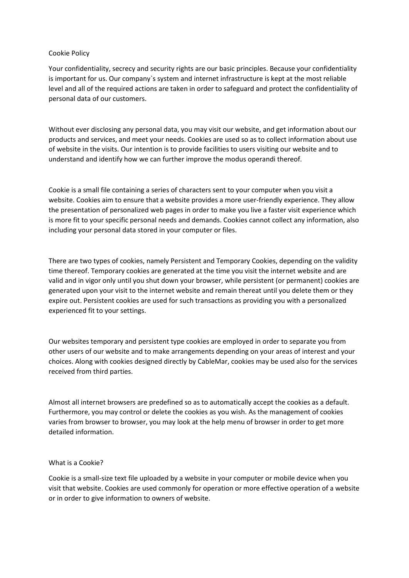## Cookie Policy

Your confidentiality, secrecy and security rights are our basic principles. Because your confidentiality is important for us. Our company`s system and internet infrastructure is kept at the most reliable level and all of the required actions are taken in order to safeguard and protect the confidentiality of personal data of our customers.

Without ever disclosing any personal data, you may visit our website, and get information about our products and services, and meet your needs. Cookies are used so as to collect information about use of website in the visits. Our intention is to provide facilities to users visiting our website and to understand and identify how we can further improve the modus operandi thereof.

Cookie is a small file containing a series of characters sent to your computer when you visit a website. Cookies aim to ensure that a website provides a more user-friendly experience. They allow the presentation of personalized web pages in order to make you live a faster visit experience which is more fit to your specific personal needs and demands. Cookies cannot collect any information, also including your personal data stored in your computer or files.

There are two types of cookies, namely Persistent and Temporary Cookies, depending on the validity time thereof. Temporary cookies are generated at the time you visit the internet website and are valid and in vigor only until you shut down your browser, while persistent (or permanent) cookies are generated upon your visit to the internet website and remain thereat until you delete them or they expire out. Persistent cookies are used for such transactions as providing you with a personalized experienced fit to your settings.

Our websites temporary and persistent type cookies are employed in order to separate you from other users of our website and to make arrangements depending on your areas of interest and your choices. Along with cookies designed directly by CableMar, cookies may be used also for the services received from third parties.

Almost all internet browsers are predefined so as to automatically accept the cookies as a default. Furthermore, you may control or delete the cookies as you wish. As the management of cookies varies from browser to browser, you may look at the help menu of browser in order to get more detailed information.

## What is a Cookie?

Cookie is a small-size text file uploaded by a website in your computer or mobile device when you visit that website. Cookies are used commonly for operation or more effective operation of a website or in order to give information to owners of website.